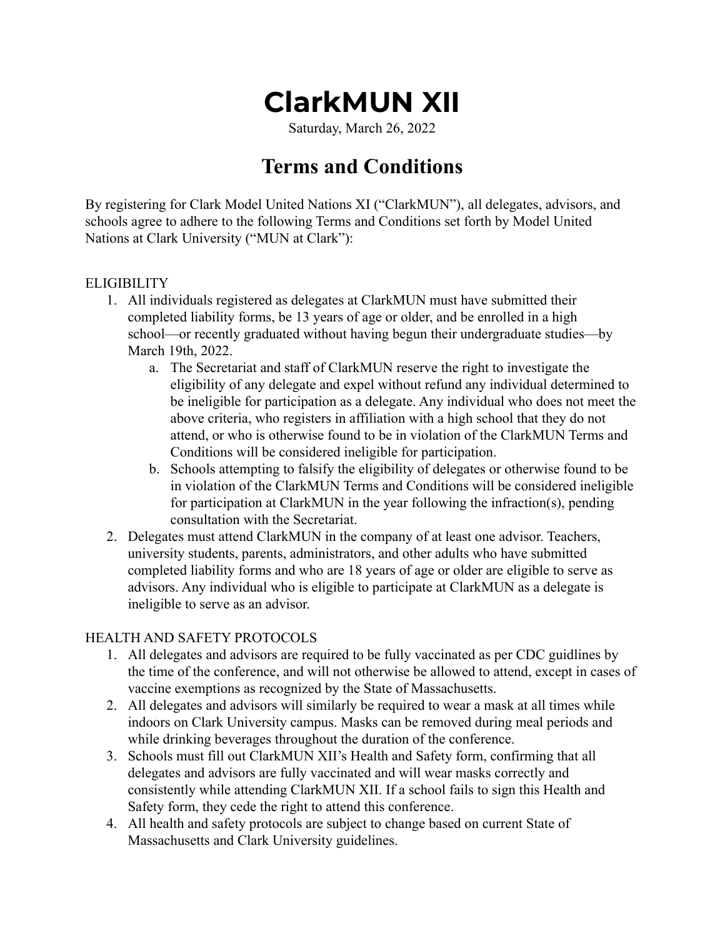# **ClarkMUN XII**

Saturday, March 26, 2022

# **Terms and Conditions**

By registering for Clark Model United Nations XI ("ClarkMUN"), all delegates, advisors, and schools agree to adhere to the following Terms and Conditions set forth by Model United Nations at Clark University ("MUN at Clark"):

#### **ELIGIBILITY**

- 1. All individuals registered as delegates at ClarkMUN must have submitted their completed liability forms, be 13 years of age or older, and be enrolled in a high school—or recently graduated without having begun their undergraduate studies—by March 19th, 2022.
	- a. The Secretariat and staff of ClarkMUN reserve the right to investigate the eligibility of any delegate and expel without refund any individual determined to be ineligible for participation as a delegate. Any individual who does not meet the above criteria, who registers in affiliation with a high school that they do not attend, or who is otherwise found to be in violation of the ClarkMUN Terms and Conditions will be considered ineligible for participation.
	- b. Schools attempting to falsify the eligibility of delegates or otherwise found to be in violation of the ClarkMUN Terms and Conditions will be considered ineligible for participation at ClarkMUN in the year following the infraction(s), pending consultation with the Secretariat.
- 2. Delegates must attend ClarkMUN in the company of at least one advisor. Teachers, university students, parents, administrators, and other adults who have submitted completed liability forms and who are 18 years of age or older are eligible to serve as advisors. Any individual who is eligible to participate at ClarkMUN as a delegate is ineligible to serve as an advisor.

#### HEALTH AND SAFETY PROTOCOLS

- 1. All delegates and advisors are required to be fully vaccinated as per CDC guidlines by the time of the conference, and will not otherwise be allowed to attend, except in cases of vaccine exemptions as recognized by the State of Massachusetts.
- 2. All delegates and advisors will similarly be required to wear a mask at all times while indoors on Clark University campus. Masks can be removed during meal periods and while drinking beverages throughout the duration of the conference.
- 3. Schools must fill out ClarkMUN XII's Health and Safety form, confirming that all delegates and advisors are fully vaccinated and will wear masks correctly and consistently while attending ClarkMUN XII. If a school fails to sign this Health and Safety form, they cede the right to attend this conference.
- 4. All health and safety protocols are subject to change based on current State of Massachusetts and Clark University guidelines.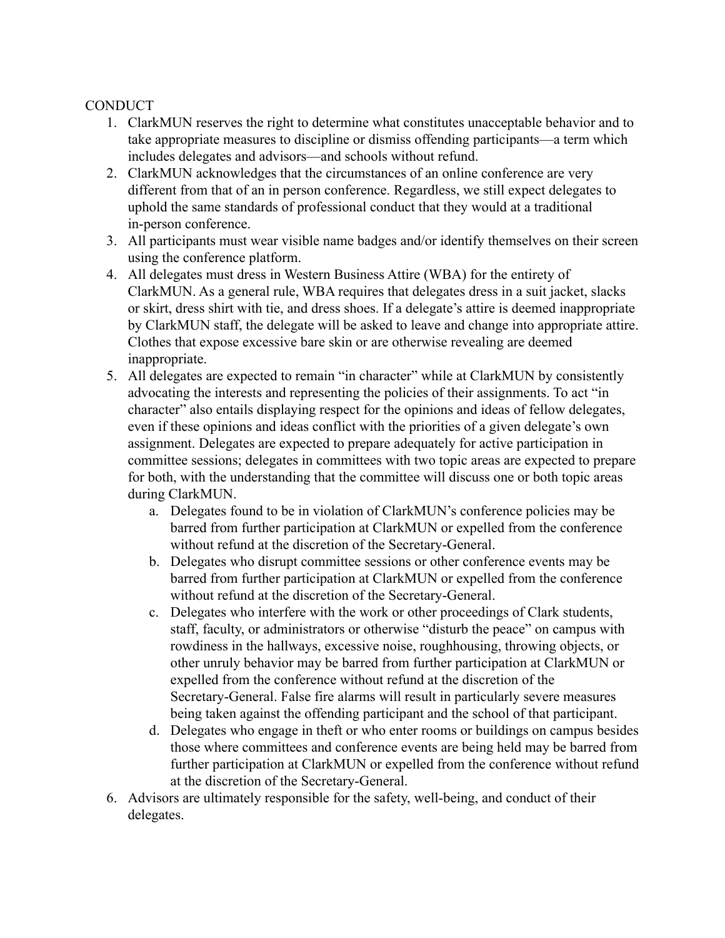#### **CONDUCT**

- 1. ClarkMUN reserves the right to determine what constitutes unacceptable behavior and to take appropriate measures to discipline or dismiss offending participants—a term which includes delegates and advisors—and schools without refund.
- 2. ClarkMUN acknowledges that the circumstances of an online conference are very different from that of an in person conference. Regardless, we still expect delegates to uphold the same standards of professional conduct that they would at a traditional in-person conference.
- 3. All participants must wear visible name badges and/or identify themselves on their screen using the conference platform.
- 4. All delegates must dress in Western Business Attire (WBA) for the entirety of ClarkMUN. As a general rule, WBA requires that delegates dress in a suit jacket, slacks or skirt, dress shirt with tie, and dress shoes. If a delegate's attire is deemed inappropriate by ClarkMUN staff, the delegate will be asked to leave and change into appropriate attire. Clothes that expose excessive bare skin or are otherwise revealing are deemed inappropriate.
- 5. All delegates are expected to remain "in character" while at ClarkMUN by consistently advocating the interests and representing the policies of their assignments. To act "in character" also entails displaying respect for the opinions and ideas of fellow delegates, even if these opinions and ideas conflict with the priorities of a given delegate's own assignment. Delegates are expected to prepare adequately for active participation in committee sessions; delegates in committees with two topic areas are expected to prepare for both, with the understanding that the committee will discuss one or both topic areas during ClarkMUN.
	- a. Delegates found to be in violation of ClarkMUN's conference policies may be barred from further participation at ClarkMUN or expelled from the conference without refund at the discretion of the Secretary-General.
	- b. Delegates who disrupt committee sessions or other conference events may be barred from further participation at ClarkMUN or expelled from the conference without refund at the discretion of the Secretary-General.
	- c. Delegates who interfere with the work or other proceedings of Clark students, staff, faculty, or administrators or otherwise "disturb the peace" on campus with rowdiness in the hallways, excessive noise, roughhousing, throwing objects, or other unruly behavior may be barred from further participation at ClarkMUN or expelled from the conference without refund at the discretion of the Secretary-General. False fire alarms will result in particularly severe measures being taken against the offending participant and the school of that participant.
	- d. Delegates who engage in theft or who enter rooms or buildings on campus besides those where committees and conference events are being held may be barred from further participation at ClarkMUN or expelled from the conference without refund at the discretion of the Secretary-General.
- 6. Advisors are ultimately responsible for the safety, well-being, and conduct of their delegates.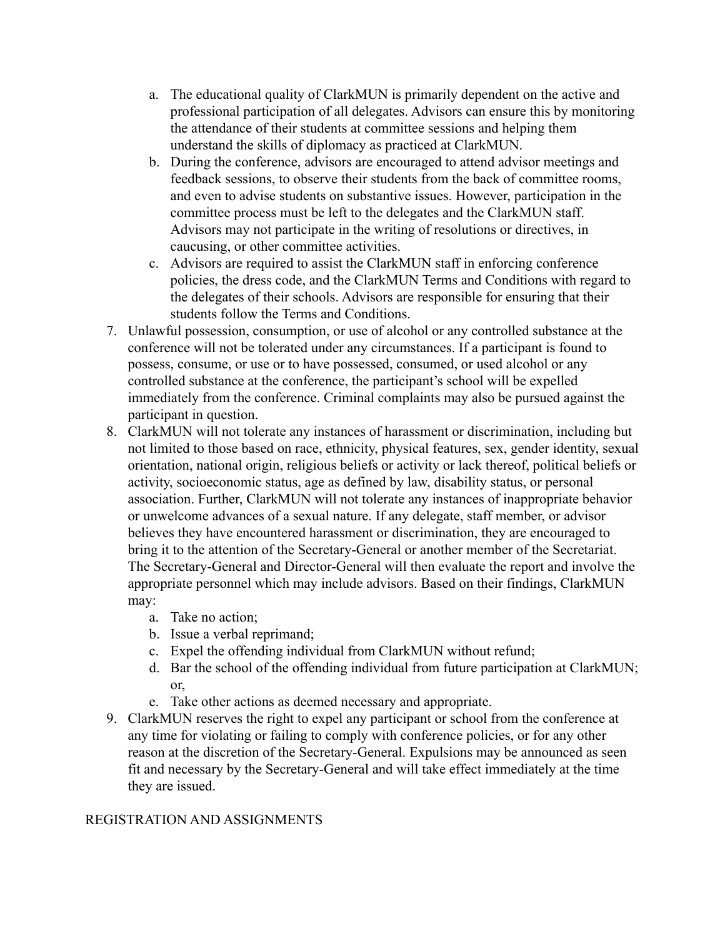- a. The educational quality of ClarkMUN is primarily dependent on the active and professional participation of all delegates. Advisors can ensure this by monitoring the attendance of their students at committee sessions and helping them understand the skills of diplomacy as practiced at ClarkMUN.
- b. During the conference, advisors are encouraged to attend advisor meetings and feedback sessions, to observe their students from the back of committee rooms, and even to advise students on substantive issues. However, participation in the committee process must be left to the delegates and the ClarkMUN staff. Advisors may not participate in the writing of resolutions or directives, in caucusing, or other committee activities.
- c. Advisors are required to assist the ClarkMUN staff in enforcing conference policies, the dress code, and the ClarkMUN Terms and Conditions with regard to the delegates of their schools. Advisors are responsible for ensuring that their students follow the Terms and Conditions.
- 7. Unlawful possession, consumption, or use of alcohol or any controlled substance at the conference will not be tolerated under any circumstances. If a participant is found to possess, consume, or use or to have possessed, consumed, or used alcohol or any controlled substance at the conference, the participant's school will be expelled immediately from the conference. Criminal complaints may also be pursued against the participant in question.
- 8. ClarkMUN will not tolerate any instances of harassment or discrimination, including but not limited to those based on race, ethnicity, physical features, sex, gender identity, sexual orientation, national origin, religious beliefs or activity or lack thereof, political beliefs or activity, socioeconomic status, age as defined by law, disability status, or personal association. Further, ClarkMUN will not tolerate any instances of inappropriate behavior or unwelcome advances of a sexual nature. If any delegate, staff member, or advisor believes they have encountered harassment or discrimination, they are encouraged to bring it to the attention of the Secretary-General or another member of the Secretariat. The Secretary-General and Director-General will then evaluate the report and involve the appropriate personnel which may include advisors. Based on their findings, ClarkMUN may:
	- a. Take no action;
	- b. Issue a verbal reprimand;
	- c. Expel the offending individual from ClarkMUN without refund;
	- d. Bar the school of the offending individual from future participation at ClarkMUN; or,
	- e. Take other actions as deemed necessary and appropriate.
- 9. ClarkMUN reserves the right to expel any participant or school from the conference at any time for violating or failing to comply with conference policies, or for any other reason at the discretion of the Secretary-General. Expulsions may be announced as seen fit and necessary by the Secretary-General and will take effect immediately at the time they are issued.

#### REGISTRATION AND ASSIGNMENTS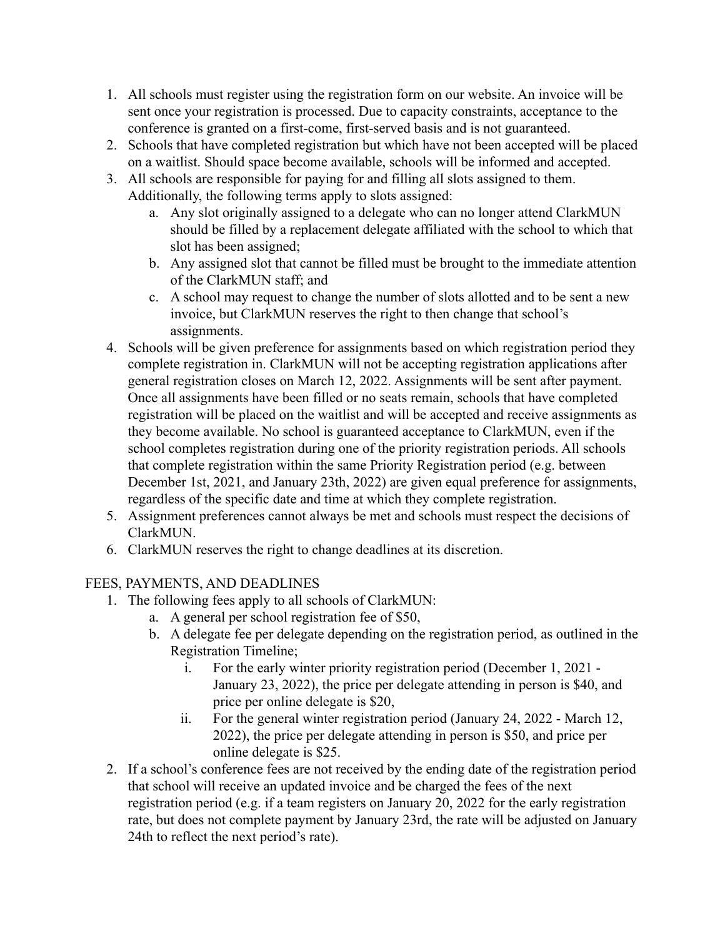- 1. All schools must register using the registration form on our website. An invoice will be sent once your registration is processed. Due to capacity constraints, acceptance to the conference is granted on a first-come, first-served basis and is not guaranteed.
- 2. Schools that have completed registration but which have not been accepted will be placed on a waitlist. Should space become available, schools will be informed and accepted.
- 3. All schools are responsible for paying for and filling all slots assigned to them. Additionally, the following terms apply to slots assigned:
	- a. Any slot originally assigned to a delegate who can no longer attend ClarkMUN should be filled by a replacement delegate affiliated with the school to which that slot has been assigned;
	- b. Any assigned slot that cannot be filled must be brought to the immediate attention of the ClarkMUN staff; and
	- c. A school may request to change the number of slots allotted and to be sent a new invoice, but ClarkMUN reserves the right to then change that school's assignments.
- 4. Schools will be given preference for assignments based on which registration period they complete registration in. ClarkMUN will not be accepting registration applications after general registration closes on March 12, 2022. Assignments will be sent after payment. Once all assignments have been filled or no seats remain, schools that have completed registration will be placed on the waitlist and will be accepted and receive assignments as they become available. No school is guaranteed acceptance to ClarkMUN, even if the school completes registration during one of the priority registration periods. All schools that complete registration within the same Priority Registration period (e.g. between December 1st, 2021, and January 23th, 2022) are given equal preference for assignments, regardless of the specific date and time at which they complete registration.
- 5. Assignment preferences cannot always be met and schools must respect the decisions of ClarkMUN.
- 6. ClarkMUN reserves the right to change deadlines at its discretion.

#### FEES, PAYMENTS, AND DEADLINES

- 1. The following fees apply to all schools of ClarkMUN:
	- a. A general per school registration fee of \$50,
	- b. A delegate fee per delegate depending on the registration period, as outlined in the Registration Timeline;
		- i. For the early winter priority registration period (December 1, 2021 January 23, 2022), the price per delegate attending in person is \$40, and price per online delegate is \$20,
		- ii. For the general winter registration period (January 24, 2022 March 12, 2022), the price per delegate attending in person is \$50, and price per online delegate is \$25.
- 2. If a school's conference fees are not received by the ending date of the registration period that school will receive an updated invoice and be charged the fees of the next registration period (e.g. if a team registers on January 20, 2022 for the early registration rate, but does not complete payment by January 23rd, the rate will be adjusted on January 24th to reflect the next period's rate).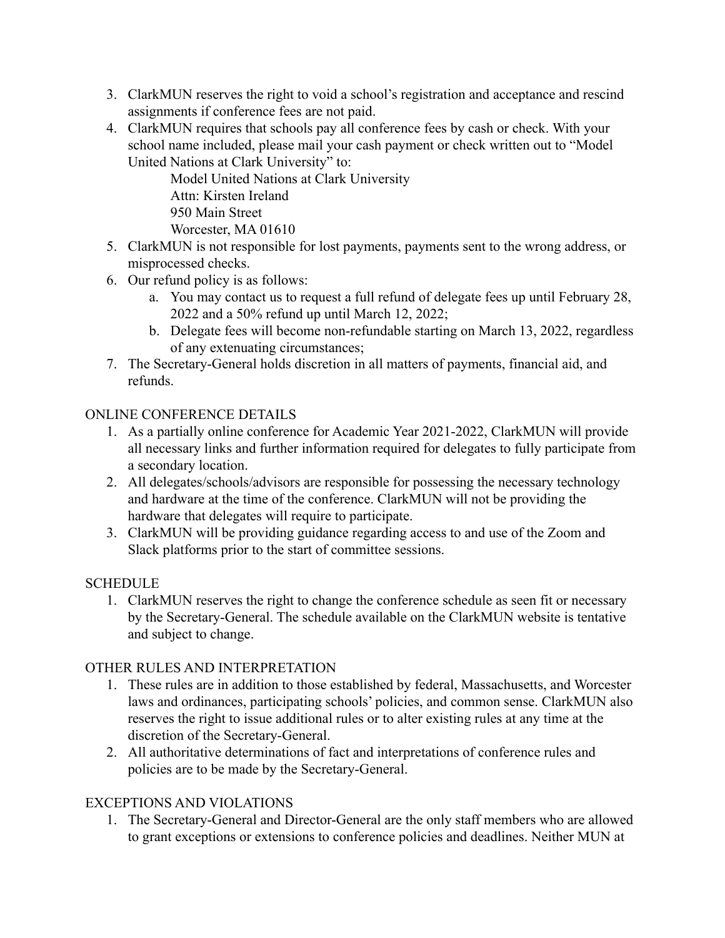- 3. ClarkMUN reserves the right to void a school's registration and acceptance and rescind assignments if conference fees are not paid.
- 4. ClarkMUN requires that schools pay all conference fees by cash or check. With your school name included, please mail your cash payment or check written out to "Model United Nations at Clark University" to:

Model United Nations at Clark University Attn: Kirsten Ireland 950 Main Street Worcester, MA 01610

- 5. ClarkMUN is not responsible for lost payments, payments sent to the wrong address, or misprocessed checks.
- 6. Our refund policy is as follows:
	- a. You may contact us to request a full refund of delegate fees up until February 28, 2022 and a 50% refund up until March 12, 2022;
	- b. Delegate fees will become non-refundable starting on March 13, 2022, regardless of any extenuating circumstances;
- 7. The Secretary-General holds discretion in all matters of payments, financial aid, and refunds.

### ONLINE CONFERENCE DETAILS

- 1. As a partially online conference for Academic Year 2021-2022, ClarkMUN will provide all necessary links and further information required for delegates to fully participate from a secondary location.
- 2. All delegates/schools/advisors are responsible for possessing the necessary technology and hardware at the time of the conference. ClarkMUN will not be providing the hardware that delegates will require to participate.
- 3. ClarkMUN will be providing guidance regarding access to and use of the Zoom and Slack platforms prior to the start of committee sessions.

# **SCHEDULE**

1. ClarkMUN reserves the right to change the conference schedule as seen fit or necessary by the Secretary-General. The schedule available on the ClarkMUN website is tentative and subject to change.

# OTHER RULES AND INTERPRETATION

- 1. These rules are in addition to those established by federal, Massachusetts, and Worcester laws and ordinances, participating schools' policies, and common sense. ClarkMUN also reserves the right to issue additional rules or to alter existing rules at any time at the discretion of the Secretary-General.
- 2. All authoritative determinations of fact and interpretations of conference rules and policies are to be made by the Secretary-General.

# EXCEPTIONS AND VIOLATIONS

1. The Secretary-General and Director-General are the only staff members who are allowed to grant exceptions or extensions to conference policies and deadlines. Neither MUN at